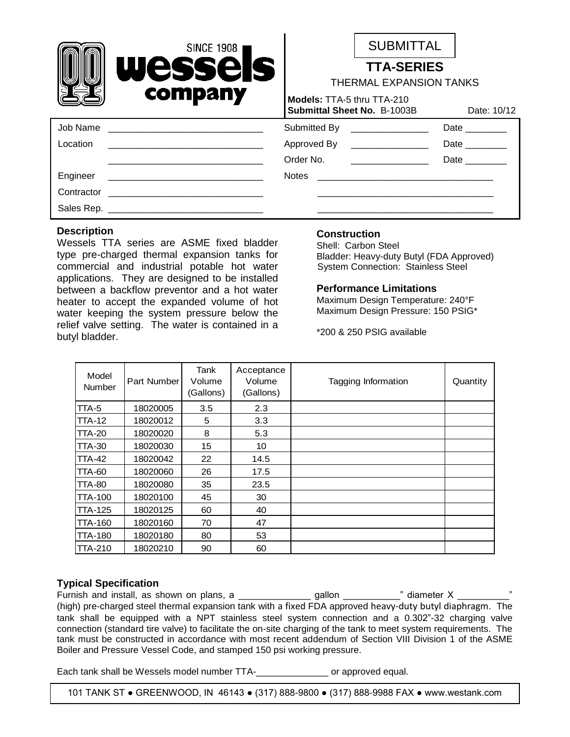|          | SINCE 1908<br>Wessels<br>company                                                                                      | <b>SUBMITTAL</b><br><b>TTA-SERIES</b><br><b>THERMAL EXPANSION TANKS</b> |                                    |                                   |  |
|----------|-----------------------------------------------------------------------------------------------------------------------|-------------------------------------------------------------------------|------------------------------------|-----------------------------------|--|
|          |                                                                                                                       | Models: TTA-5 thru TTA-210                                              | <b>Submittal Sheet No. B-1003B</b> | Date: 10/12                       |  |
| Job Name | <u> 2000 - Jan James James James James James James James James James James James James James James James James Ja</u> |                                                                         | Submitted By ________________      | Date $\_\_\_\_\_\_\_\_\_\_\_\_\_$ |  |
| Location | <u> 2008 - Jan James James Jan James James James James James James James James James James James James James Jam</u>  |                                                                         | Approved By ________________       | Date $\_\_$                       |  |
|          |                                                                                                                       |                                                                         | Order No. <u>________________</u>  | Date                              |  |
| Engineer |                                                                                                                       |                                                                         |                                    |                                   |  |
|          |                                                                                                                       |                                                                         |                                    |                                   |  |
|          |                                                                                                                       |                                                                         |                                    |                                   |  |
|          |                                                                                                                       |                                                                         |                                    |                                   |  |

### **Description**

Wessels TTA series are ASME fixed bladder type pre-charged thermal expansion tanks for commercial and industrial potable hot water applications. They are designed to be installed between a backflow preventor and a hot water heater to accept the expanded volume of hot water keeping the system pressure below the relief valve setting. The water is contained in a butyl bladder.

## **Construction**

Shell: Carbon Steel Bladder: Heavy-duty Butyl (FDA Approved) System Connection: Stainless Steel

### **Performance Limitations**

Maximum Design Temperature: 240°F Maximum Design Pressure: 150 PSIG\*

\*200 & 250 PSIG available

| Model<br><b>Number</b> | Part Number | Tank<br>Volume<br>(Gallons) | Acceptance<br>Volume<br>(Gallons) | Tagging Information | Quantity |
|------------------------|-------------|-----------------------------|-----------------------------------|---------------------|----------|
| TTA-5                  | 18020005    | 3.5                         | 2.3                               |                     |          |
| <b>TTA-12</b>          | 18020012    | 5                           | 3.3                               |                     |          |
| <b>TTA-20</b>          | 18020020    | 8                           | 5.3                               |                     |          |
| <b>TTA-30</b>          | 18020030    | 15                          | 10                                |                     |          |
| <b>TTA-42</b>          | 18020042    | 22                          | 14.5                              |                     |          |
| <b>TTA-60</b>          | 18020060    | 26                          | 17.5                              |                     |          |
| <b>TTA-80</b>          | 18020080    | 35                          | 23.5                              |                     |          |
| <b>TTA-100</b>         | 18020100    | 45                          | 30                                |                     |          |
| <b>TTA-125</b>         | 18020125    | 60                          | 40                                |                     |          |
| <b>TTA-160</b>         | 18020160    | 70                          | 47                                |                     |          |
| <b>TTA-180</b>         | 18020180    | 80                          | 53                                |                     |          |
| <b>TTA-210</b>         | 18020210    | 90                          | 60                                |                     |          |

## **Typical Specification**

Furnish and install, as shown on plans, a \_\_\_\_\_\_\_\_\_\_\_\_\_\_ gallon \_\_\_\_\_\_\_\_\_\_\_" diameter X \_\_\_\_\_\_\_\_\_\_" (high) pre-charged steel thermal expansion tank with a fixed FDA approved heavy-duty butyl diaphragm. The tank shall be equipped with a NPT stainless steel system connection and a 0.302"-32 charging valve connection (standard tire valve) to facilitate the on-site charging of the tank to meet system requirements. The tank must be constructed in accordance with most recent addendum of Section VIII Division 1 of the ASME Boiler and Pressure Vessel Code, and stamped 150 psi working pressure.

Each tank shall be Wessels model number TTA- The contract or approved equal.

101 TANK ST ● GREENWOOD, IN 46143 ● (317) 888-9800 ● (317) 888-9988 FAX ● www.westank.com